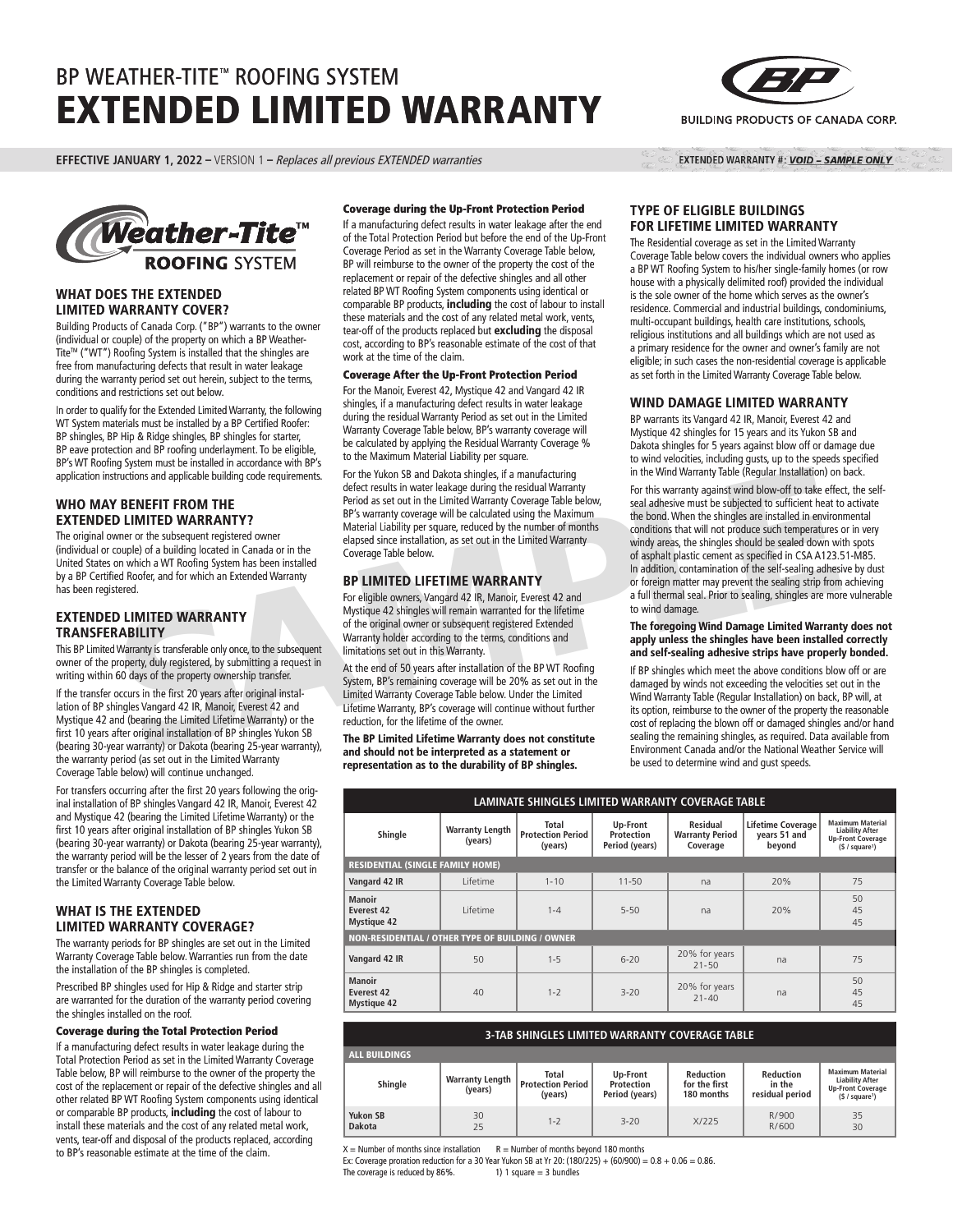# BP WEATHER-TITE™ ROOFING SYSTEM EXTENDED LIMITED WARRANTY

**EFFECTIVE JANUARY 1, 2022 –** VERSION 1 – Replaces all previous EXTENDED warranties



#### **WHAT DOES THE EXTENDED LIMITED WARRANTY COVER?**

Building Products of Canada Corp. ("BP") warrants to the owner (individual or couple) of the property on which a BP Weather-Tite™ ("WT") Roofing System is installed that the shingles are free from manufacturing defects that result in water leakage during the warranty period set out herein, subject to the terms, conditions and restrictions set out below.

In order to qualify for the Extended Limited Warranty, the following WT System materials must be installed by a BP Certified Roofer: BP shingles, BP Hip & Ridge shingles, BP shingles for starter, BP eave protection and BP roofing underlayment. To be eligible, BP's WT Roofing System must be installed in accordance with BP's application instructions and applicable building code requirements.

# **WHO MAY BENEFIT FROM THE EXTENDED LIMITED WARRANTY?**

The original owner or the subsequent registered owner (individual or couple) of a building located in Canada or in the United States on which a WT Roofing System has been installed by a BP Certified Roofer, and for which an Extended Warranty has been registered.

# **EXTENDED LIMITED WARRANTY TRANSFERABILITY**

This BP Limited Warranty is transferable only once, to the subsequent owner of the property, duly registered, by submitting a request in writing within 60 days of the property ownership transfer.

If the transfer occurs in the first 20 years after original installation of BP shingles Vangard 42 IR, Manoir, Everest 42 and Mystique 42 and (bearing the Limited Lifetime Warranty) or the first 10 years after original installation of BP shingles Yukon SB (bearing 30-year warranty) or Dakota (bearing 25-year warranty), the warranty period (as set out in the Limited Warranty Coverage Table below) will continue unchanged.

For transfers occurring after the first 20 years following the original installation of BP shingles Vangard 42 IR, Manoir, Everest 42 and Mystique 42 (bearing the Limited Lifetime Warranty) or the first 10 years after original installation of BP shingles Yukon SB (bearing 30-year warranty) or Dakota (bearing 25-year warranty), the warranty period will be the lesser of 2 years from the date of transfer or the balance of the original warranty period set out in the Limited Warranty Coverage Table below.

# **WHAT IS THE EXTENDED LIMITED WARRANTY COVERAGE?**

The warranty periods for BP shingles are set out in the Limited Warranty Coverage Table below. Warranties run from the date the installation of the BP shingles is completed.

Prescribed BP shingles used for Hip & Ridge and starter strip are warranted for the duration of the warranty period covering the shingles installed on the roof.

#### Coverage during the Total Protection Period

If a manufacturing defect results in water leakage during the Total Protection Period as set in the Limited Warranty Coverage Table below, BP will reimburse to the owner of the property the cost of the replacement or repair of the defective shingles and all other related BP WT Roofing System components using identical or comparable BP products, **including** the cost of labour to install these materials and the cost of any related metal work, vents, tear-off and disposal of the products replaced, according to BP's reasonable estimate at the time of the claim.

#### Coverage during the Up-Front Protection Period

If a manufacturing defect results in water leakage after the end of the Total Protection Period but before the end of the Up-Front Coverage Period as set in the Warranty Coverage Table below, BP will reimburse to the owner of the property the cost of the replacement or repair of the defective shingles and all other related BP WT Roofing System components using identical or comparable BP products, **including** the cost of labour to install these materials and the cost of any related metal work, vents, tear-off of the products replaced but **excluding** the disposal cost, according to BP's reasonable estimate of the cost of that work at the time of the claim.

## Coverage After the Up-Front Protection Period

For the Manoir, Everest 42, Mystique 42 and Vangard 42 IR shingles, if a manufacturing defect results in water leakage during the residual Warranty Period as set out in the Limited Warranty Coverage Table below, BP's warranty coverage will be calculated by applying the Residual Warranty Coverage % to the Maximum Material Liability per square.

For the Yukon SB and Dakota shingles, if a manufacturing defect results in water leakage during the residual Warranty Period as set out in the Limited Warranty Coverage Table below, BP's warranty coverage will be calculated using the Maximum Material Liability per square, reduced by the number of months elapsed since installation, as set out in the Limited Warranty Coverage Table below.

## **BP LIMITED LIFETIME WARRANTY**

For eligible owners, Vangard 42 IR, Manoir, Everest 42 and Mystique 42 shingles will remain warranted for the lifetime of the original owner or subsequent registered Extended Warranty holder according to the terms, conditions and limitations set out in this Warranty.

At the end of 50 years after installation of the BP WT Roofing System, BP's remaining coverage will be 20% as set out in the Limited Warranty Coverage Table below. Under the Limited Lifetime Warranty, BP's coverage will continue without further reduction, for the lifetime of the owner.

**The BP Limited Lifetime Warranty does not constitute and should not be interpreted as a statement or representation as to the durability of BP shingles.**



The Residential coverage as set in the Limited Warranty Coverage Table below covers the individual owners who applies a BP WT Roofing System to his/her single-family homes (or row house with a physically delimited roof) provided the individual is the sole owner of the home which serves as the owner's residence. Commercial and industrial buildings, condominiums, multi-occupant buildings, health care institutions, schools, religious institutions and all buildings which are not used as a primary residence for the owner and owner's family are not eligible; in such cases the non-residential coverage is applicable as set forth in the Limited Warranty Coverage Table below.

#### **WIND DAMAGE LIMITED WARRANTY**

BP warrants its Vangard 42 IR, Manoir, Everest 42 and Mystique 42 shingles for 15 years and its Yukon SB and Dakota shingles for 5 years against blow off or damage due to wind velocities, including gusts, up to the speeds specified in the Wind Warranty Table (Regular Installation) on back.

tructions and applicable building code requirements.<br>
The the two is and Dakota smagned, a ranuation mum we wantanty of the swaranty coverage the effect insults what building cost et also the the limited Warranty Coreage b For this warranty against wind blow-off to take effect, the selfseal adhesive must be subjected to sufficient heat to activate the bond. When the shingles are installed in environmental conditions that will not produce such temperatures or in very windy areas, the shingles should be sealed down with spots of asphalt plastic cement as specified in CSA A123.51-M85. In addition, contamination of the self-sealing adhesive by dust or foreign matter may prevent the sealing strip from achieving a full thermal seal. Prior to sealing, shingles are more vulnerable to wind damage.

#### **The foregoing Wind Damage Limited Warranty does not apply unless the shingles have been installed correctly and self-sealing adhesive strips have properly bonded.**

If BP shingles which meet the above conditions blow off or are damaged by winds not exceeding the velocities set out in the Wind Warranty Table (Regular Installation) on back, BP will, at its option, reimburse to the owner of the property the reasonable cost of replacing the blown off or damaged shingles and/or hand sealing the remaining shingles, as required. Data available from Environment Canada and/or the National Weather Service will be used to determine wind and gust speeds.

| LAMINATE SHINGLES LIMITED WARRANTY COVERAGE TABLE       |                                   |                                              |                                          |                                                |                                                    |                                                                                                             |  |
|---------------------------------------------------------|-----------------------------------|----------------------------------------------|------------------------------------------|------------------------------------------------|----------------------------------------------------|-------------------------------------------------------------------------------------------------------------|--|
| Shingle                                                 | <b>Warranty Length</b><br>(years) | Total<br><b>Protection Period</b><br>(years) | Up-Front<br>Protection<br>Period (years) | Residual<br><b>Warranty Period</b><br>Coverage | <b>Lifetime Coverage</b><br>years 51 and<br>beyond | <b>Maximum Material</b><br><b>Liability After</b><br><b>Up-Front Coverage</b><br>(§ / square <sup>1</sup> ) |  |
| <b>RESIDENTIAL (SINGLE FAMILY HOME)</b>                 |                                   |                                              |                                          |                                                |                                                    |                                                                                                             |  |
| Vangard 42 IR                                           | Lifetime                          | $1 - 10$                                     | $11 - 50$                                | na                                             | 20%                                                | 75                                                                                                          |  |
| <b>Manoir</b><br>Everest 42<br><b>Mystique 42</b>       | I ifetime                         | $1 - 4$                                      | $5 - 50$                                 | na                                             | 20%                                                | 50<br>45<br>45                                                                                              |  |
| <b>NON-RESIDENTIAL / OTHER TYPE OF BUILDING / OWNER</b> |                                   |                                              |                                          |                                                |                                                    |                                                                                                             |  |
| Vangard 42 IR                                           | 50                                | $1 - 5$                                      | $6 - 20$                                 | 20% for years<br>$21 - 50$                     | na                                                 | 75                                                                                                          |  |
| Manoir<br>Everest 42<br><b>Mystique 42</b>              | 40                                | $1 - 2$                                      | $3 - 20$                                 | 20% for years<br>$21 - 40$                     | na                                                 | 50<br>45<br>45                                                                                              |  |

| <b>3-TAB SHINGLES LIMITED WARRANTY COVERAGE TABLE</b> |                                   |                                                     |                                          |                                          |                                               |                                                                                                             |  |  |
|-------------------------------------------------------|-----------------------------------|-----------------------------------------------------|------------------------------------------|------------------------------------------|-----------------------------------------------|-------------------------------------------------------------------------------------------------------------|--|--|
| <b>ALL BUILDINGS</b>                                  |                                   |                                                     |                                          |                                          |                                               |                                                                                                             |  |  |
| Shingle                                               | <b>Warranty Length</b><br>(years) | <b>Total</b><br><b>Protection Period</b><br>(years) | Up-Front<br>Protection<br>Period (years) | Reduction<br>for the first<br>180 months | <b>Reduction</b><br>in the<br>residual period | <b>Maximum Material</b><br><b>Liability After</b><br><b>Up-Front Coverage</b><br>(S / square <sup>1</sup> ) |  |  |
| <b>Yukon SB</b><br>Dakota                             | 30<br>25                          | $1 - 2$                                             | $3 - 20$                                 | X/225                                    | R/900<br>R/600                                | 35<br>30                                                                                                    |  |  |

 $X =$  Number of months since installation  $R =$  Number of months beyond 180 months

Ex: Coverage proration reduction for a 30 Year Yukon SB at Yr 20: (180/225) + (60/900) =  $0.8 + 0.06 = 0.86$ . The coverage is reduced by  $86\%$ . 1) 1 square = 3 bundles



EXTENDED WARRANTY #: VOID - SAMPLE ONLY